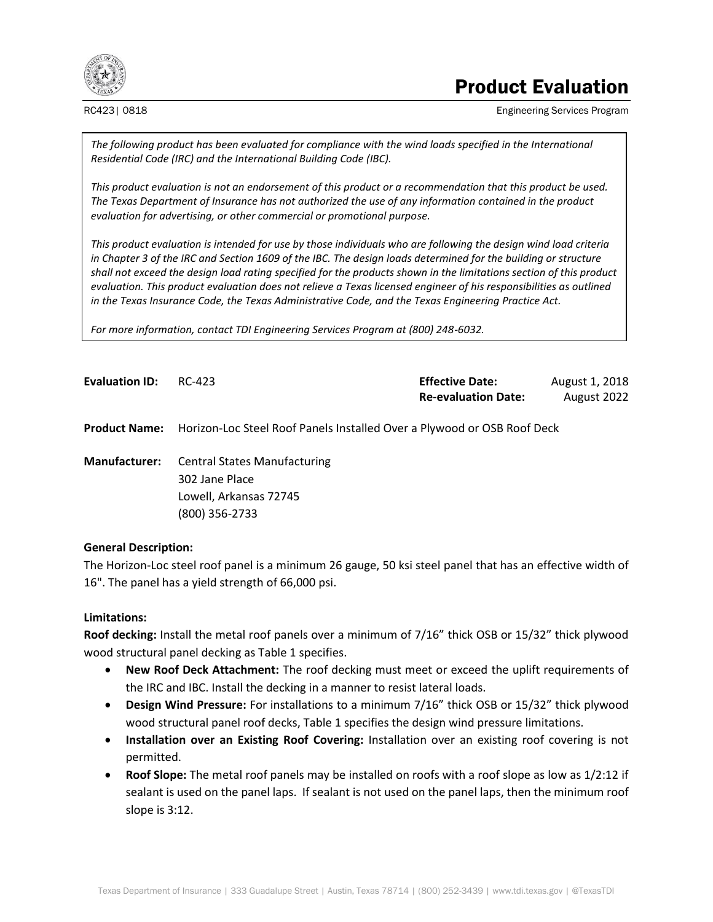

# Product Evaluation

RC423| 0818 Engineering Services Program

*The following product has been evaluated for compliance with the wind loads specified in the International Residential Code (IRC) and the International Building Code (IBC).*

*This product evaluation is not an endorsement of this product or a recommendation that this product be used. The Texas Department of Insurance has not authorized the use of any information contained in the product evaluation for advertising, or other commercial or promotional purpose.*

*This product evaluation is intended for use by those individuals who are following the design wind load criteria in Chapter 3 of the IRC and Section 1609 of the IBC. The design loads determined for the building or structure shall not exceed the design load rating specified for the products shown in the limitations section of this product evaluation. This product evaluation does not relieve a Texas licensed engineer of his responsibilities as outlined in the Texas Insurance Code, the Texas Administrative Code, and the Texas Engineering Practice Act.*

*For more information, contact TDI Engineering Services Program at (800) 248-6032.*

| <b>Evaluation ID:</b> | RC-423                                                                  | <b>Effective Date:</b>     | August 1, 2018 |
|-----------------------|-------------------------------------------------------------------------|----------------------------|----------------|
|                       |                                                                         | <b>Re-evaluation Date:</b> | August 2022    |
| <b>Product Name:</b>  | Horizon-Loc Steel Roof Panels Installed Over a Plywood or OSB Roof Deck |                            |                |

**Manufacturer:** Central States Manufacturing 302 Jane Place Lowell, Arkansas 72745 (800) 356-2733

# **General Description:**

The Horizon-Loc steel roof panel is a minimum 26 gauge, 50 ksi steel panel that has an effective width of 16". The panel has a yield strength of 66,000 psi.

# **Limitations:**

**Roof decking:** Install the metal roof panels over a minimum of 7/16" thick OSB or 15/32" thick plywood wood structural panel decking as Table 1 specifies.

- **New Roof Deck Attachment:** The roof decking must meet or exceed the uplift requirements of the IRC and IBC. Install the decking in a manner to resist lateral loads.
- **Design Wind Pressure:** For installations to a minimum 7/16" thick OSB or 15/32" thick plywood wood structural panel roof decks, Table 1 specifies the design wind pressure limitations.
- **Installation over an Existing Roof Covering:** Installation over an existing roof covering is not permitted.
- **Roof Slope:** The metal roof panels may be installed on roofs with a roof slope as low as 1/2:12 if sealant is used on the panel laps. If sealant is not used on the panel laps, then the minimum roof slope is 3:12.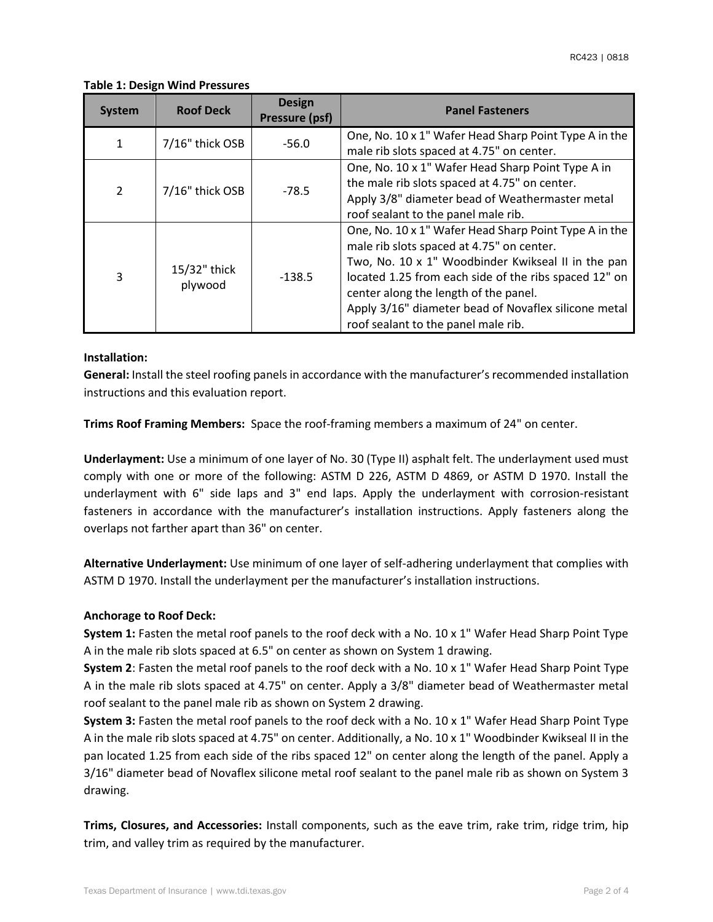### **Table 1: Design Wind Pressures**

| <b>System</b>  | <b>Roof Deck</b>        | <b>Design</b><br>Pressure (psf) | <b>Panel Fasteners</b>                                                                                                                                                                                                                                                                                                                                    |  |
|----------------|-------------------------|---------------------------------|-----------------------------------------------------------------------------------------------------------------------------------------------------------------------------------------------------------------------------------------------------------------------------------------------------------------------------------------------------------|--|
| $\mathbf{1}$   | 7/16" thick OSB         | $-56.0$                         | One, No. 10 x 1" Wafer Head Sharp Point Type A in the<br>male rib slots spaced at 4.75" on center.                                                                                                                                                                                                                                                        |  |
| $\overline{2}$ | 7/16" thick OSB         | $-78.5$                         | One, No. 10 x 1" Wafer Head Sharp Point Type A in<br>the male rib slots spaced at 4.75" on center.<br>Apply 3/8" diameter bead of Weathermaster metal<br>roof sealant to the panel male rib.                                                                                                                                                              |  |
| $\overline{3}$ | 15/32" thick<br>plywood | $-138.5$                        | One, No. 10 x 1" Wafer Head Sharp Point Type A in the<br>male rib slots spaced at 4.75" on center.<br>Two, No. 10 x 1" Woodbinder Kwikseal II in the pan<br>located 1.25 from each side of the ribs spaced 12" on<br>center along the length of the panel.<br>Apply 3/16" diameter bead of Novaflex silicone metal<br>roof sealant to the panel male rib. |  |

# **Installation:**

**General:** Install the steel roofing panels in accordance with the manufacturer's recommended installation instructions and this evaluation report.

**Trims Roof Framing Members:** Space the roof-framing members a maximum of 24" on center.

**Underlayment:** Use a minimum of one layer of No. 30 (Type II) asphalt felt. The underlayment used must comply with one or more of the following: ASTM D 226, ASTM D 4869, or ASTM D 1970. Install the underlayment with 6" side laps and 3" end laps. Apply the underlayment with corrosion-resistant fasteners in accordance with the manufacturer's installation instructions. Apply fasteners along the overlaps not farther apart than 36" on center.

**Alternative Underlayment:** Use minimum of one layer of self-adhering underlayment that complies with ASTM D 1970. Install the underlayment per the manufacturer's installation instructions.

# **Anchorage to Roof Deck:**

**System 1:** Fasten the metal roof panels to the roof deck with a No. 10 x 1" Wafer Head Sharp Point Type A in the male rib slots spaced at 6.5" on center as shown on System 1 drawing.

**System 2**: Fasten the metal roof panels to the roof deck with a No. 10 x 1" Wafer Head Sharp Point Type A in the male rib slots spaced at 4.75" on center. Apply a 3/8" diameter bead of Weathermaster metal roof sealant to the panel male rib as shown on System 2 drawing.

**System 3:** Fasten the metal roof panels to the roof deck with a No. 10 x 1" Wafer Head Sharp Point Type A in the male rib slots spaced at 4.75" on center. Additionally, a No. 10 x 1" Woodbinder Kwikseal II in the pan located 1.25 from each side of the ribs spaced 12" on center along the length of the panel. Apply a 3/16" diameter bead of Novaflex silicone metal roof sealant to the panel male rib as shown on System 3 drawing.

**Trims, Closures, and Accessories:** Install components, such as the eave trim, rake trim, ridge trim, hip trim, and valley trim as required by the manufacturer.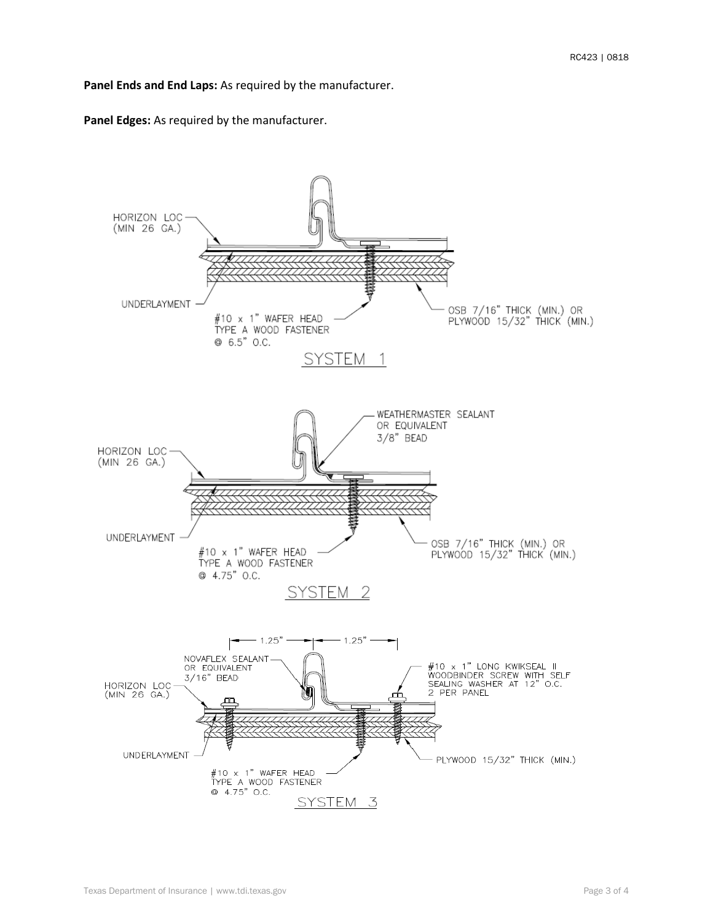#### **Panel Ends and End Laps:** As required by the manufacturer.

**Panel Edges:** As required by the manufacturer.